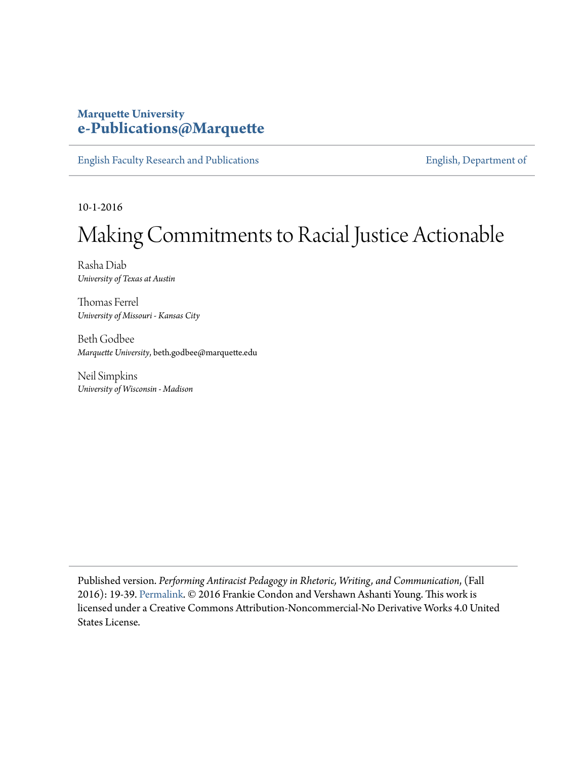## **Marquette University [e-Publications@Marquette](https://epublications.marquette.edu)**

[English Faculty Research and Publications](https://epublications.marquette.edu/english_fac) **[English, Department of](https://epublications.marquette.edu/english)** 

10-1-2016

# Making Commitments to Racial Justice Actionable

Rasha Diab *University of Texas at Austin*

Thomas Ferrel *University of Missouri - Kansas City*

Beth Godbee *Marquette University*, beth.godbee@marquette.edu

Neil Simpkins *University of Wisconsin - Madison*

Published version. *Performing Antiracist Pedagogy in Rhetoric, Writing, and Communication*, (Fall 2016): 19-39. [Permalink](https://wac.colostate.edu/books/atd/antiracist/). © 2016 Frankie Condon and Vershawn Ashanti Young. This work is licensed under a Creative Commons Attribution-Noncommercial-No Derivative Works 4.0 United States License.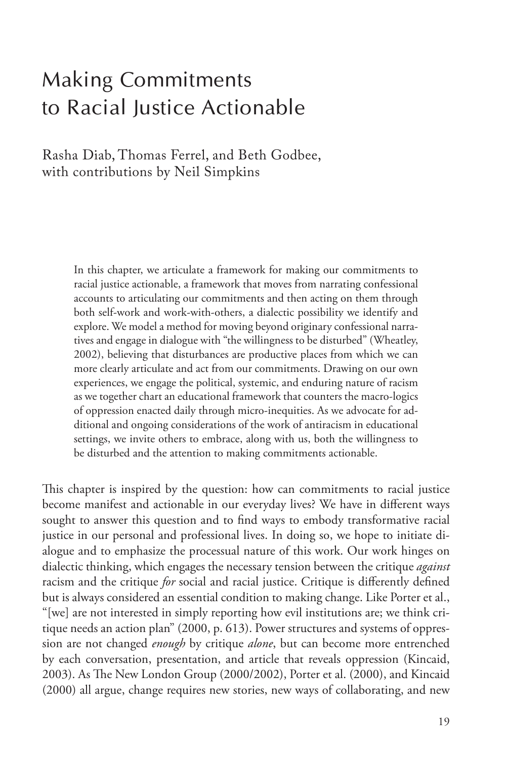## Making Commitments to Racial Justice Actionable

Rasha Diab, Thomas Ferrel, and Beth Godbee, with contributions by Neil Simpkins

> In this chapter, we articulate a framework for making our commitments to racial justice actionable, a framework that moves from narrating confessional accounts to articulating our commitments and then acting on them through both self-work and work-with-others, a dialectic possibility we identify and explore. We model a method for moving beyond originary confessional narratives and engage in dialogue with "the willingness to be disturbed" (Wheatley, 2002), believing that disturbances are productive places from which we can more clearly articulate and act from our commitments. Drawing on our own experiences, we engage the political, systemic, and enduring nature of racism as we together chart an educational framework that counters the macro-logics of oppression enacted daily through micro-inequities. As we advocate for additional and ongoing considerations of the work of antiracism in educational settings, we invite others to embrace, along with us, both the willingness to be disturbed and the attention to making commitments actionable.

This chapter is inspired by the question: how can commitments to racial justice become manifest and actionable in our everyday lives? We have in different ways sought to answer this question and to find ways to embody transformative racial justice in our personal and professional lives. In doing so, we hope to initiate dialogue and to emphasize the processual nature of this work. Our work hinges on dialectic thinking, which engages the necessary tension between the critique *against* racism and the critique *for* social and racial justice. Critique is differently defined but is always considered an essential condition to making change. Like Porter et al., "[we] are not interested in simply reporting how evil institutions are; we think critique needs an action plan" (2000, p. 613). Power structures and systems of oppression are not changed *enough* by critique *alone*, but can become more entrenched by each conversation, presentation, and article that reveals oppression (Kincaid, 2003). As The New London Group (2000/2002), Porter et al. (2000), and Kincaid (2000) all argue, change requires new stories, new ways of collaborating, and new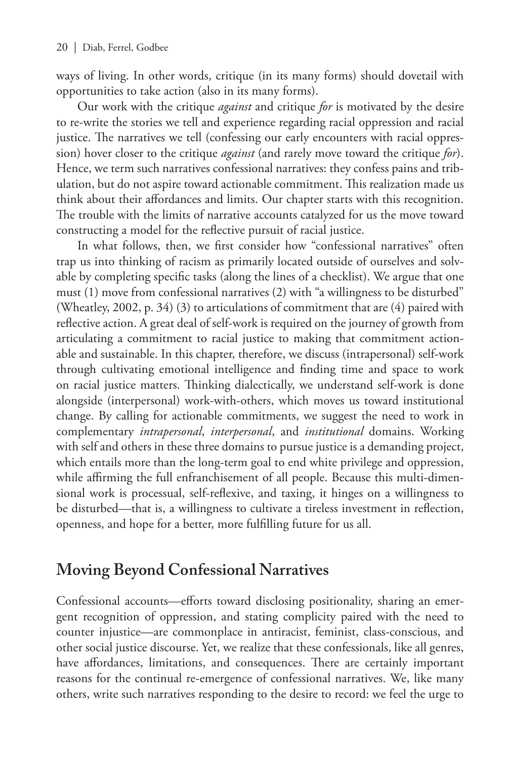ways of living. In other words, critique (in its many forms) should dovetail with opportunities to take action (also in its many forms).

Our work with the critique *against* and critique *for* is motivated by the desire to re-write the stories we tell and experience regarding racial oppression and racial justice. The narratives we tell (confessing our early encounters with racial oppression) hover closer to the critique *against* (and rarely move toward the critique *for*). Hence, we term such narratives confessional narratives: they confess pains and tribulation, but do not aspire toward actionable commitment. This realization made us think about their affordances and limits. Our chapter starts with this recognition. The trouble with the limits of narrative accounts catalyzed for us the move toward constructing a model for the reflective pursuit of racial justice.

In what follows, then, we first consider how "confessional narratives" often trap us into thinking of racism as primarily located outside of ourselves and solvable by completing specific tasks (along the lines of a checklist). We argue that one must (1) move from confessional narratives (2) with "a willingness to be disturbed" (Wheatley, 2002, p. 34) (3) to articulations of commitment that are (4) paired with reflective action. A great deal of self-work is required on the journey of growth from articulating a commitment to racial justice to making that commitment actionable and sustainable. In this chapter, therefore, we discuss (intrapersonal) self-work through cultivating emotional intelligence and finding time and space to work on racial justice matters. Thinking dialectically, we understand self-work is done alongside (interpersonal) work-with-others, which moves us toward institutional change. By calling for actionable commitments, we suggest the need to work in complementary *intrapersonal*, *interpersonal*, and *institutional* domains. Working with self and others in these three domains to pursue justice is a demanding project, which entails more than the long-term goal to end white privilege and oppression, while affirming the full enfranchisement of all people. Because this multi-dimensional work is processual, self-reflexive, and taxing, it hinges on a willingness to be disturbed—that is, a willingness to cultivate a tireless investment in reflection, openness, and hope for a better, more fulfilling future for us all.

## **Moving Beyond Confessional Narratives**

Confessional accounts—efforts toward disclosing positionality, sharing an emergent recognition of oppression, and stating complicity paired with the need to counter injustice—are commonplace in antiracist, feminist, class-conscious, and other social justice discourse. Yet, we realize that these confessionals, like all genres, have affordances, limitations, and consequences. There are certainly important reasons for the continual re-emergence of confessional narratives. We, like many others, write such narratives responding to the desire to record: we feel the urge to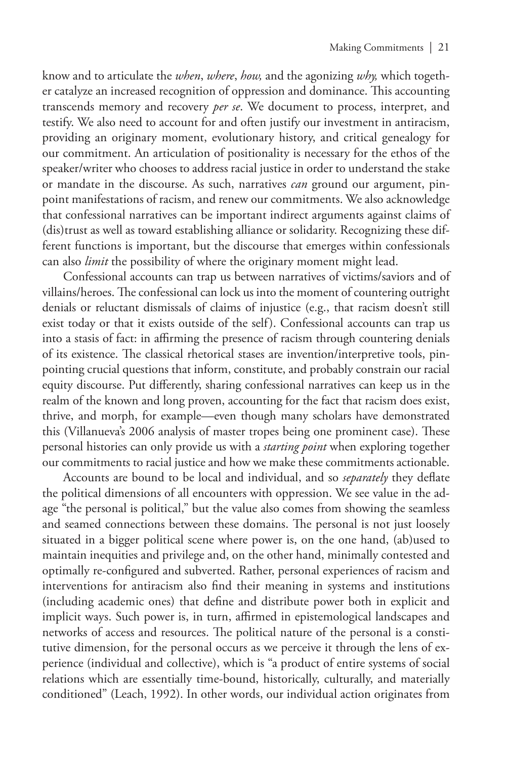know and to articulate the *when*, *where*, *how,* and the agonizing *why,* which together catalyze an increased recognition of oppression and dominance. This accounting transcends memory and recovery *per se*. We document to process, interpret, and testify. We also need to account for and often justify our investment in antiracism, providing an originary moment, evolutionary history, and critical genealogy for our commitment. An articulation of positionality is necessary for the ethos of the speaker/writer who chooses to address racial justice in order to understand the stake or mandate in the discourse. As such, narratives *can* ground our argument, pinpoint manifestations of racism, and renew our commitments. We also acknowledge that confessional narratives can be important indirect arguments against claims of (dis)trust as well as toward establishing alliance or solidarity. Recognizing these different functions is important, but the discourse that emerges within confessionals can also *limit* the possibility of where the originary moment might lead.

Confessional accounts can trap us between narratives of victims/saviors and of villains/heroes. The confessional can lock us into the moment of countering outright denials or reluctant dismissals of claims of injustice (e.g., that racism doesn't still exist today or that it exists outside of the self). Confessional accounts can trap us into a stasis of fact: in affirming the presence of racism through countering denials of its existence. The classical rhetorical stases are invention/interpretive tools, pinpointing crucial questions that inform, constitute, and probably constrain our racial equity discourse. Put differently, sharing confessional narratives can keep us in the realm of the known and long proven, accounting for the fact that racism does exist, thrive, and morph, for example—even though many scholars have demonstrated this (Villanueva's 2006 analysis of master tropes being one prominent case). These personal histories can only provide us with a *starting point* when exploring together our commitments to racial justice and how we make these commitments actionable.

Accounts are bound to be local and individual, and so *separately* they deflate the political dimensions of all encounters with oppression. We see value in the adage "the personal is political," but the value also comes from showing the seamless and seamed connections between these domains. The personal is not just loosely situated in a bigger political scene where power is, on the one hand, (ab)used to maintain inequities and privilege and, on the other hand, minimally contested and optimally re-configured and subverted. Rather, personal experiences of racism and interventions for antiracism also find their meaning in systems and institutions (including academic ones) that define and distribute power both in explicit and implicit ways. Such power is, in turn, affirmed in epistemological landscapes and networks of access and resources. The political nature of the personal is a constitutive dimension, for the personal occurs as we perceive it through the lens of experience (individual and collective), which is "a product of entire systems of social relations which are essentially time-bound, historically, culturally, and materially conditioned" (Leach, 1992). In other words, our individual action originates from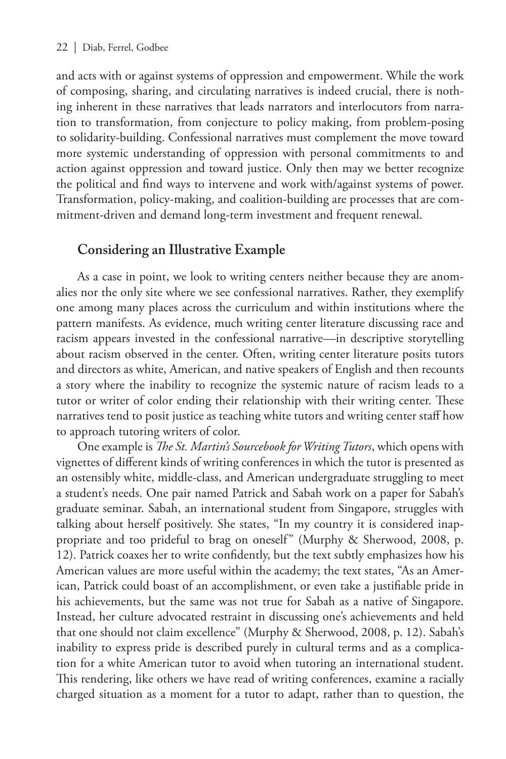and acts with or against systems of oppression and empowerment. While the work of composing, sharing, and circulating narratives is indeed crucial, there is nothing inherent in these narratives that leads narrators and interlocutors from narration to transformation, from conjecture to policy making, from problem-posing to solidarity-building. Confessional narratives must complement the move toward more systemic understanding of oppression with personal commitments to and action against oppression and toward justice. Only then may we better recognize the political and find ways to intervene and work with/against systems of power. Transformation, policy-making, and coalition-building are processes that are commitment-driven and demand long-term investment and frequent renewal.

#### **Considering an Illustrative Example**

As a case in point, we look to writing centers neither because they are anomalies nor the only site where we see confessional narratives. Rather, they exemplify one among many places across the curriculum and within institutions where the pattern manifests. As evidence, much writing center literature discussing race and racism appears invested in the confessional narrative—in descriptive storytelling about racism observed in the center. Often, writing center literature posits tutors and directors as white, American, and native speakers of English and then recounts a story where the inability to recognize the systemic nature of racism leads to a tutor or writer of color ending their relationship with their writing center. These narratives tend to posit justice as teaching white tutors and writing center staff how to approach tutoring writers of color.

One example is *The St. Martin's Sourcebook for Writing Tutors*, which opens with vignettes of different kinds of writing conferences in which the tutor is presented as an ostensibly white, middle-class, and American undergraduate struggling to meet a student's needs. One pair named Patrick and Sabah work on a paper for Sabah's graduate seminar. Sabah, an international student from Singapore, struggles with talking about herself positively. She states, "In my country it is considered inappropriate and too prideful to brag on oneself" (Murphy & Sherwood, 2008, p. 12). Patrick coaxes her to write confidently, but the text subtly emphasizes how his American values are more useful within the academy; the text states, "As an American, Patrick could boast of an accomplishment, or even take a justifiable pride in his achievements, but the same was not true for Sabah as a native of Singapore. Instead, her culture advocated restraint in discussing one's achievements and held that one should not claim excellence" (Murphy & Sherwood, 2008, p. 12). Sabah's inability to express pride is described purely in cultural terms and as a complication for a white American tutor to avoid when tutoring an international student. This rendering, like others we have read of writing conferences, examine a racially charged situation as a moment for a tutor to adapt, rather than to question, the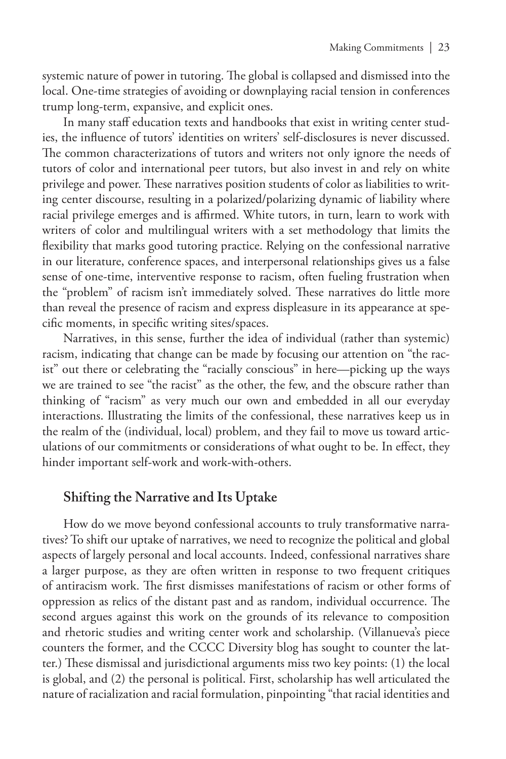systemic nature of power in tutoring. The global is collapsed and dismissed into the local. One-time strategies of avoiding or downplaying racial tension in conferences trump long-term, expansive, and explicit ones.

In many staff education texts and handbooks that exist in writing center studies, the influence of tutors' identities on writers' self-disclosures is never discussed. The common characterizations of tutors and writers not only ignore the needs of tutors of color and international peer tutors, but also invest in and rely on white privilege and power. These narratives position students of color as liabilities to writing center discourse, resulting in a polarized/polarizing dynamic of liability where racial privilege emerges and is affirmed. White tutors, in turn, learn to work with writers of color and multilingual writers with a set methodology that limits the flexibility that marks good tutoring practice. Relying on the confessional narrative in our literature, conference spaces, and interpersonal relationships gives us a false sense of one-time, interventive response to racism, often fueling frustration when the "problem" of racism isn't immediately solved. These narratives do little more than reveal the presence of racism and express displeasure in its appearance at specific moments, in specific writing sites/spaces.

Narratives, in this sense, further the idea of individual (rather than systemic) racism, indicating that change can be made by focusing our attention on "the racist" out there or celebrating the "racially conscious" in here—picking up the ways we are trained to see "the racist" as the other, the few, and the obscure rather than thinking of "racism" as very much our own and embedded in all our everyday interactions. Illustrating the limits of the confessional, these narratives keep us in the realm of the (individual, local) problem, and they fail to move us toward articulations of our commitments or considerations of what ought to be. In effect, they hinder important self-work and work-with-others.

#### **Shifting the Narrative and Its Uptake**

How do we move beyond confessional accounts to truly transformative narratives? To shift our uptake of narratives, we need to recognize the political and global aspects of largely personal and local accounts. Indeed, confessional narratives share a larger purpose, as they are often written in response to two frequent critiques of antiracism work. The first dismisses manifestations of racism or other forms of oppression as relics of the distant past and as random, individual occurrence. The second argues against this work on the grounds of its relevance to composition and rhetoric studies and writing center work and scholarship. (Villanueva's piece counters the former, and the CCCC Diversity blog has sought to counter the latter.) These dismissal and jurisdictional arguments miss two key points: (1) the local is global, and (2) the personal is political. First, scholarship has well articulated the nature of racialization and racial formulation, pinpointing "that racial identities and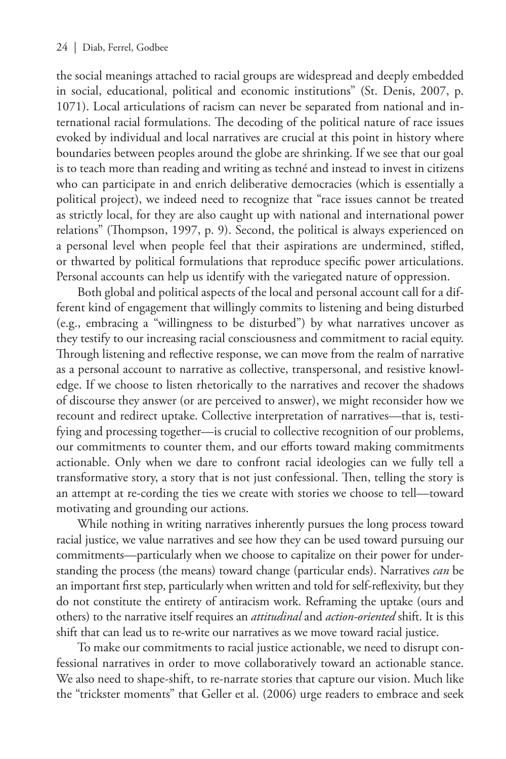the social meanings attached to racial groups are widespread and deeply embedded in social, educational, political and economic institutions" (St. Denis, 2007, p. 1071). Local articulations of racism can never be separated from national and international racial formulations. The decoding of the political nature of race issues evoked by individual and local narratives are crucial at this point in history where boundaries between peoples around the globe are shrinking. If we see that our goal is to teach more than reading and writing as techné and instead to invest in citizens who can participate in and enrich deliberative democracies (which is essentially a political project), we indeed need to recognize that "race issues cannot be treated as strictly local, for they are also caught up with national and international power relations" (Thompson, 1997, p. 9). Second, the political is always experienced on a personal level when people feel that their aspirations are undermined, stifled, or thwarted by political formulations that reproduce specific power articulations. Personal accounts can help us identify with the variegated nature of oppression.

Both global and political aspects of the local and personal account call for a different kind of engagement that willingly commits to listening and being disturbed (e.g., embracing a "willingness to be disturbed") by what narratives uncover as they testify to our increasing racial consciousness and commitment to racial equity. Through listening and reflective response, we can move from the realm of narrative as a personal account to narrative as collective, transpersonal, and resistive knowledge. If we choose to listen rhetorically to the narratives and recover the shadows of discourse they answer (or are perceived to answer), we might reconsider how we recount and redirect uptake. Collective interpretation of narratives—that is, testifying and processing together—is crucial to collective recognition of our problems, our commitments to counter them, and our efforts toward making commitments actionable. Only when we dare to confront racial ideologies can we fully tell a transformative story, a story that is not just confessional. Then, telling the story is an attempt at re-cording the ties we create with stories we choose to tell—toward motivating and grounding our actions.

While nothing in writing narratives inherently pursues the long process toward racial justice, we value narratives and see how they can be used toward pursuing our commitments—particularly when we choose to capitalize on their power for understanding the process (the means) toward change (particular ends). Narratives *can* be an important first step, particularly when written and told for self-reflexivity, but they do not constitute the entirety of antiracism work. Reframing the uptake (ours and others) to the narrative itself requires an *attitudinal* and *action-oriented* shift. It is this shift that can lead us to re-write our narratives as we move toward racial justice.

To make our commitments to racial justice actionable, we need to disrupt confessional narratives in order to move collaboratively toward an actionable stance. We also need to shape-shift, to re-narrate stories that capture our vision. Much like the "trickster moments" that Geller et al. (2006) urge readers to embrace and seek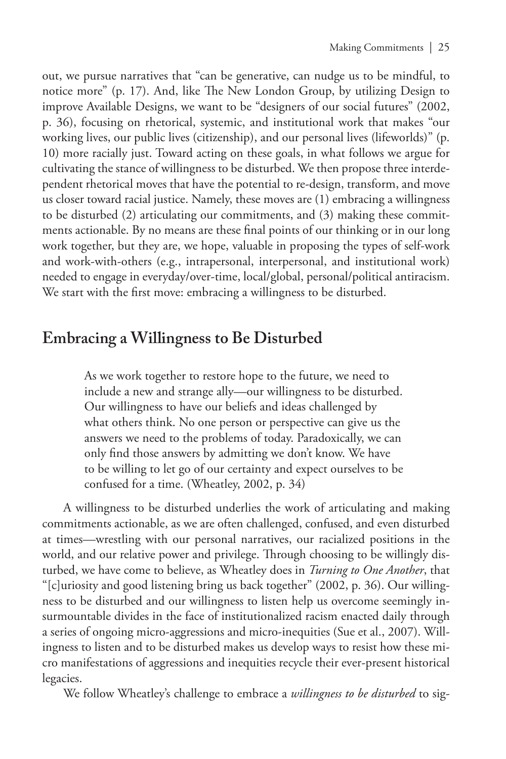out, we pursue narratives that "can be generative, can nudge us to be mindful, to notice more" (p. 17). And, like The New London Group, by utilizing Design to improve Available Designs, we want to be "designers of our social futures" (2002, p. 36), focusing on rhetorical, systemic, and institutional work that makes "our working lives, our public lives (citizenship), and our personal lives (lifeworlds)" (p. 10) more racially just. Toward acting on these goals, in what follows we argue for cultivating the stance of willingness to be disturbed. We then propose three interdependent rhetorical moves that have the potential to re-design, transform, and move us closer toward racial justice. Namely, these moves are (1) embracing a willingness to be disturbed (2) articulating our commitments, and (3) making these commitments actionable. By no means are these final points of our thinking or in our long work together, but they are, we hope, valuable in proposing the types of self-work and work-with-others (e.g., intrapersonal, interpersonal, and institutional work) needed to engage in everyday/over-time, local/global, personal/political antiracism. We start with the first move: embracing a willingness to be disturbed.

### **Embracing a Willingness to Be Disturbed**

As we work together to restore hope to the future, we need to include a new and strange ally—our willingness to be disturbed. Our willingness to have our beliefs and ideas challenged by what others think. No one person or perspective can give us the answers we need to the problems of today. Paradoxically, we can only find those answers by admitting we don't know. We have to be willing to let go of our certainty and expect ourselves to be confused for a time. (Wheatley, 2002, p. 34)

A willingness to be disturbed underlies the work of articulating and making commitments actionable, as we are often challenged, confused, and even disturbed at times—wrestling with our personal narratives, our racialized positions in the world, and our relative power and privilege. Through choosing to be willingly disturbed, we have come to believe, as Wheatley does in *Turning to One Another*, that "[c]uriosity and good listening bring us back together" (2002, p. 36). Our willingness to be disturbed and our willingness to listen help us overcome seemingly insurmountable divides in the face of institutionalized racism enacted daily through a series of ongoing micro-aggressions and micro-inequities (Sue et al., 2007). Willingness to listen and to be disturbed makes us develop ways to resist how these micro manifestations of aggressions and inequities recycle their ever-present historical legacies.

We follow Wheatley's challenge to embrace a *willingness to be disturbed* to sig-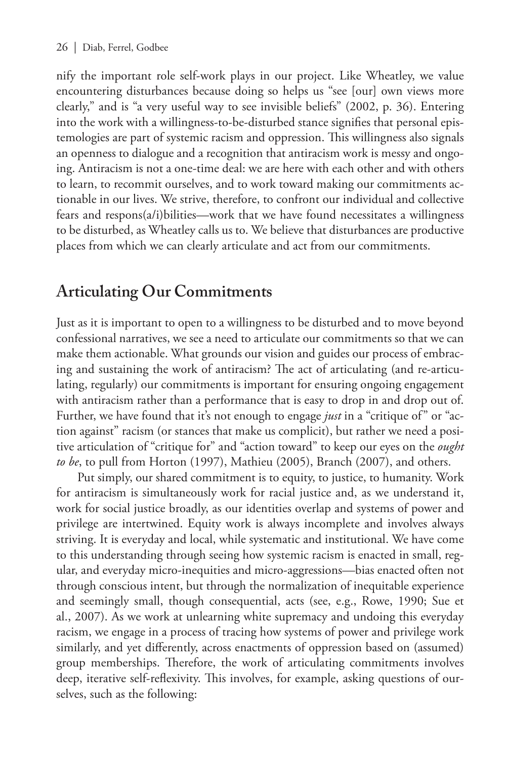nify the important role self-work plays in our project. Like Wheatley, we value encountering disturbances because doing so helps us "see [our] own views more clearly," and is "a very useful way to see invisible beliefs" (2002, p. 36). Entering into the work with a willingness-to-be-disturbed stance signifies that personal epistemologies are part of systemic racism and oppression. This willingness also signals an openness to dialogue and a recognition that antiracism work is messy and ongoing. Antiracism is not a one-time deal: we are here with each other and with others to learn, to recommit ourselves, and to work toward making our commitments actionable in our lives. We strive, therefore, to confront our individual and collective fears and respons(a/i)bilities—work that we have found necessitates a willingness to be disturbed, as Wheatley calls us to. We believe that disturbances are productive places from which we can clearly articulate and act from our commitments.

## **Articulating Our Commitments**

Just as it is important to open to a willingness to be disturbed and to move beyond confessional narratives, we see a need to articulate our commitments so that we can make them actionable. What grounds our vision and guides our process of embracing and sustaining the work of antiracism? The act of articulating (and re-articulating, regularly) our commitments is important for ensuring ongoing engagement with antiracism rather than a performance that is easy to drop in and drop out of. Further, we have found that it's not enough to engage *just* in a "critique of" or "action against" racism (or stances that make us complicit), but rather we need a positive articulation of "critique for" and "action toward" to keep our eyes on the *ought to be*, to pull from Horton (1997), Mathieu (2005), Branch (2007), and others.

Put simply, our shared commitment is to equity, to justice, to humanity. Work for antiracism is simultaneously work for racial justice and, as we understand it, work for social justice broadly, as our identities overlap and systems of power and privilege are intertwined. Equity work is always incomplete and involves always striving. It is everyday and local, while systematic and institutional. We have come to this understanding through seeing how systemic racism is enacted in small, regular, and everyday micro-inequities and micro-aggressions—bias enacted often not through conscious intent, but through the normalization of inequitable experience and seemingly small, though consequential, acts (see, e.g., Rowe, 1990; Sue et al., 2007). As we work at unlearning white supremacy and undoing this everyday racism, we engage in a process of tracing how systems of power and privilege work similarly, and yet differently, across enactments of oppression based on (assumed) group memberships. Therefore, the work of articulating commitments involves deep, iterative self-reflexivity. This involves, for example, asking questions of ourselves, such as the following: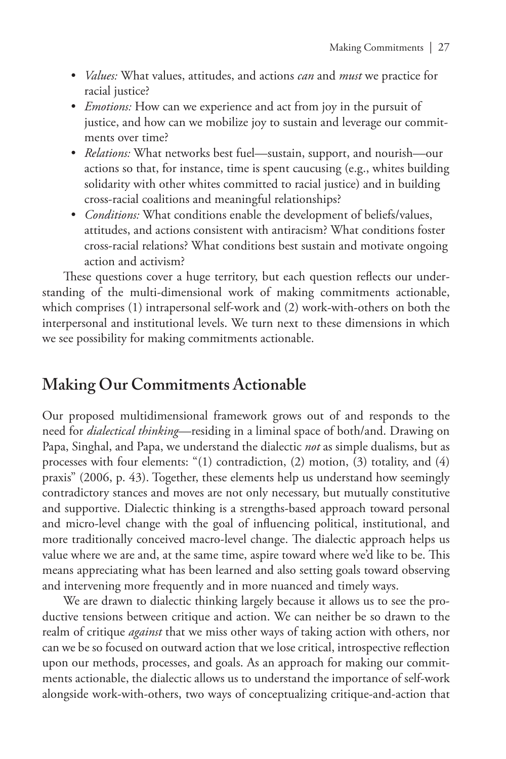- *• Values:* What values, attitudes, and actions *can* and *must* we practice for racial justice?
- *• Emotions:* How can we experience and act from joy in the pursuit of justice, and how can we mobilize joy to sustain and leverage our commitments over time?
- *• Relations:* What networks best fuel—sustain, support, and nourish—our actions so that, for instance, time is spent caucusing (e.g., whites building solidarity with other whites committed to racial justice) and in building cross-racial coalitions and meaningful relationships?
- *• Conditions:* What conditions enable the development of beliefs/values, attitudes, and actions consistent with antiracism? What conditions foster cross-racial relations? What conditions best sustain and motivate ongoing action and activism?

These questions cover a huge territory, but each question reflects our understanding of the multi-dimensional work of making commitments actionable, which comprises (1) intrapersonal self-work and (2) work-with-others on both the interpersonal and institutional levels. We turn next to these dimensions in which we see possibility for making commitments actionable.

## **Making Our Commitments Actionable**

Our proposed multidimensional framework grows out of and responds to the need for *dialectical thinking*—residing in a liminal space of both/and. Drawing on Papa, Singhal, and Papa, we understand the dialectic *not* as simple dualisms, but as processes with four elements: "(1) contradiction, (2) motion, (3) totality, and (4) praxis" (2006, p. 43). Together, these elements help us understand how seemingly contradictory stances and moves are not only necessary, but mutually constitutive and supportive. Dialectic thinking is a strengths-based approach toward personal and micro-level change with the goal of influencing political, institutional, and more traditionally conceived macro-level change. The dialectic approach helps us value where we are and, at the same time, aspire toward where we'd like to be. This means appreciating what has been learned and also setting goals toward observing and intervening more frequently and in more nuanced and timely ways.

We are drawn to dialectic thinking largely because it allows us to see the productive tensions between critique and action. We can neither be so drawn to the realm of critique *against* that we miss other ways of taking action with others, nor can we be so focused on outward action that we lose critical, introspective reflection upon our methods, processes, and goals. As an approach for making our commitments actionable, the dialectic allows us to understand the importance of self-work alongside work-with-others, two ways of conceptualizing critique-and-action that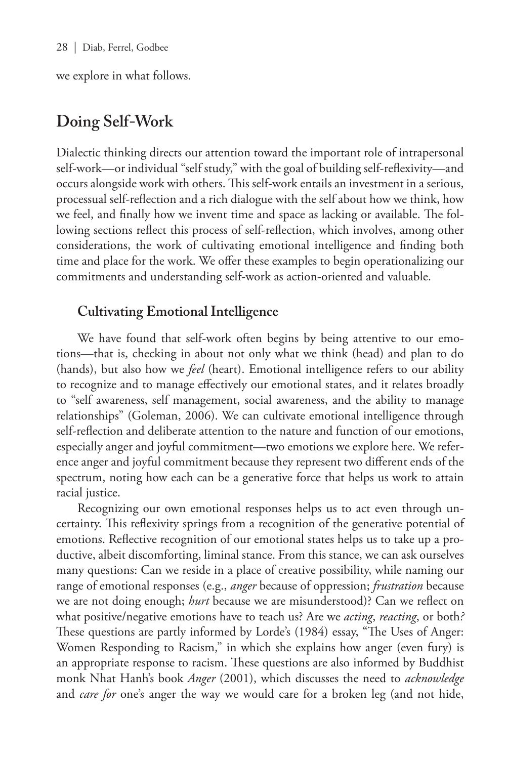we explore in what follows.

## **Doing Self-Work**

Dialectic thinking directs our attention toward the important role of intrapersonal self-work—or individual "self study," with the goal of building self-reflexivity—and occurs alongside work with others. This self-work entails an investment in a serious, processual self-reflection and a rich dialogue with the self about how we think, how we feel, and finally how we invent time and space as lacking or available. The following sections reflect this process of self-reflection, which involves, among other considerations, the work of cultivating emotional intelligence and finding both time and place for the work. We offer these examples to begin operationalizing our commitments and understanding self-work as action-oriented and valuable.

#### **Cultivating Emotional Intelligence**

We have found that self-work often begins by being attentive to our emotions—that is, checking in about not only what we think (head) and plan to do (hands), but also how we *feel* (heart). Emotional intelligence refers to our ability to recognize and to manage effectively our emotional states, and it relates broadly to "self awareness, self management, social awareness, and the ability to manage relationships" (Goleman, 2006). We can cultivate emotional intelligence through self-reflection and deliberate attention to the nature and function of our emotions, especially anger and joyful commitment—two emotions we explore here. We reference anger and joyful commitment because they represent two different ends of the spectrum, noting how each can be a generative force that helps us work to attain racial justice.

Recognizing our own emotional responses helps us to act even through uncertainty. This reflexivity springs from a recognition of the generative potential of emotions. Reflective recognition of our emotional states helps us to take up a productive, albeit discomforting, liminal stance. From this stance, we can ask ourselves many questions: Can we reside in a place of creative possibility, while naming our range of emotional responses (e.g., *anger* because of oppression; *frustration* because we are not doing enough; *hurt* because we are misunderstood)? Can we reflect on what positive/negative emotions have to teach us? Are we *acting*, *reacting*, or both*?*  These questions are partly informed by Lorde's (1984) essay, "The Uses of Anger: Women Responding to Racism," in which she explains how anger (even fury) is an appropriate response to racism. These questions are also informed by Buddhist monk Nhat Hanh's book *Anger* (2001), which discusses the need to *acknowledge* and *care for* one's anger the way we would care for a broken leg (and not hide,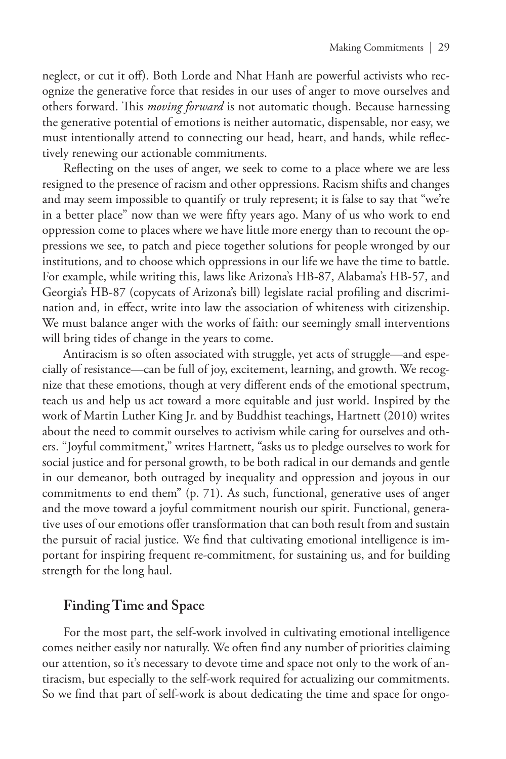neglect, or cut it off). Both Lorde and Nhat Hanh are powerful activists who recognize the generative force that resides in our uses of anger to move ourselves and others forward. This *moving forward* is not automatic though. Because harnessing the generative potential of emotions is neither automatic, dispensable, nor easy, we must intentionally attend to connecting our head, heart, and hands, while reflectively renewing our actionable commitments.

Reflecting on the uses of anger, we seek to come to a place where we are less resigned to the presence of racism and other oppressions. Racism shifts and changes and may seem impossible to quantify or truly represent; it is false to say that "we're in a better place" now than we were fifty years ago. Many of us who work to end oppression come to places where we have little more energy than to recount the oppressions we see, to patch and piece together solutions for people wronged by our institutions, and to choose which oppressions in our life we have the time to battle. For example, while writing this, laws like Arizona's HB-87, Alabama's HB-57, and Georgia's HB-87 (copycats of Arizona's bill) legislate racial profiling and discrimination and, in effect, write into law the association of whiteness with citizenship. We must balance anger with the works of faith: our seemingly small interventions will bring tides of change in the years to come.

Antiracism is so often associated with struggle, yet acts of struggle—and especially of resistance—can be full of joy, excitement, learning, and growth. We recognize that these emotions, though at very different ends of the emotional spectrum, teach us and help us act toward a more equitable and just world. Inspired by the work of Martin Luther King Jr. and by Buddhist teachings, Hartnett (2010) writes about the need to commit ourselves to activism while caring for ourselves and others. "Joyful commitment," writes Hartnett, "asks us to pledge ourselves to work for social justice and for personal growth, to be both radical in our demands and gentle in our demeanor, both outraged by inequality and oppression and joyous in our commitments to end them" (p. 71). As such, functional, generative uses of anger and the move toward a joyful commitment nourish our spirit. Functional, generative uses of our emotions offer transformation that can both result from and sustain the pursuit of racial justice. We find that cultivating emotional intelligence is important for inspiring frequent re-commitment, for sustaining us, and for building strength for the long haul.

#### **Finding Time and Space**

For the most part, the self-work involved in cultivating emotional intelligence comes neither easily nor naturally. We often find any number of priorities claiming our attention, so it's necessary to devote time and space not only to the work of antiracism, but especially to the self-work required for actualizing our commitments. So we find that part of self-work is about dedicating the time and space for ongo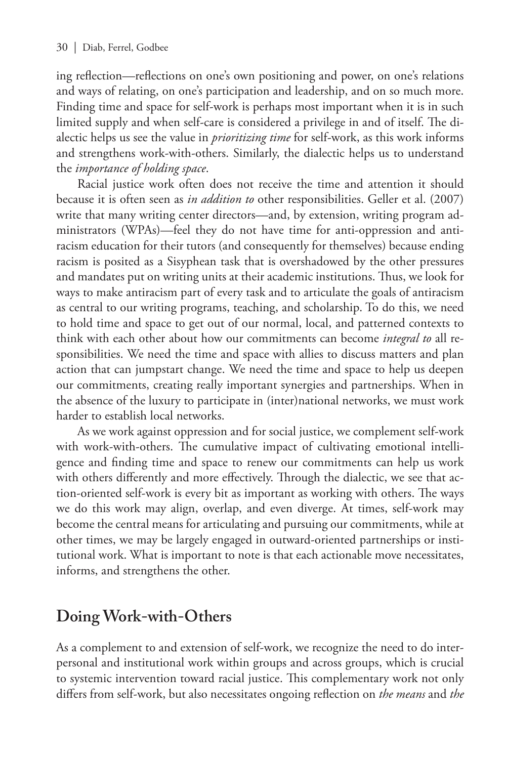ing reflection—reflections on one's own positioning and power, on one's relations and ways of relating, on one's participation and leadership, and on so much more. Finding time and space for self-work is perhaps most important when it is in such limited supply and when self-care is considered a privilege in and of itself. The dialectic helps us see the value in *prioritizing time* for self-work, as this work informs and strengthens work-with-others. Similarly, the dialectic helps us to understand the *importance of holding space*.

Racial justice work often does not receive the time and attention it should because it is often seen as *in addition to* other responsibilities. Geller et al. (2007) write that many writing center directors—and, by extension, writing program administrators (WPAs)—feel they do not have time for anti-oppression and antiracism education for their tutors (and consequently for themselves) because ending racism is posited as a Sisyphean task that is overshadowed by the other pressures and mandates put on writing units at their academic institutions. Thus, we look for ways to make antiracism part of every task and to articulate the goals of antiracism as central to our writing programs, teaching, and scholarship. To do this, we need to hold time and space to get out of our normal, local, and patterned contexts to think with each other about how our commitments can become *integral to* all responsibilities. We need the time and space with allies to discuss matters and plan action that can jumpstart change. We need the time and space to help us deepen our commitments, creating really important synergies and partnerships. When in the absence of the luxury to participate in (inter)national networks, we must work harder to establish local networks.

As we work against oppression and for social justice, we complement self-work with work-with-others. The cumulative impact of cultivating emotional intelligence and finding time and space to renew our commitments can help us work with others differently and more effectively. Through the dialectic, we see that action-oriented self-work is every bit as important as working with others. The ways we do this work may align, overlap, and even diverge. At times, self-work may become the central means for articulating and pursuing our commitments, while at other times, we may be largely engaged in outward-oriented partnerships or institutional work. What is important to note is that each actionable move necessitates, informs, and strengthens the other.

## **Doing Work-with-Others**

As a complement to and extension of self-work, we recognize the need to do interpersonal and institutional work within groups and across groups, which is crucial to systemic intervention toward racial justice. This complementary work not only differs from self-work, but also necessitates ongoing reflection on *the means* and *the*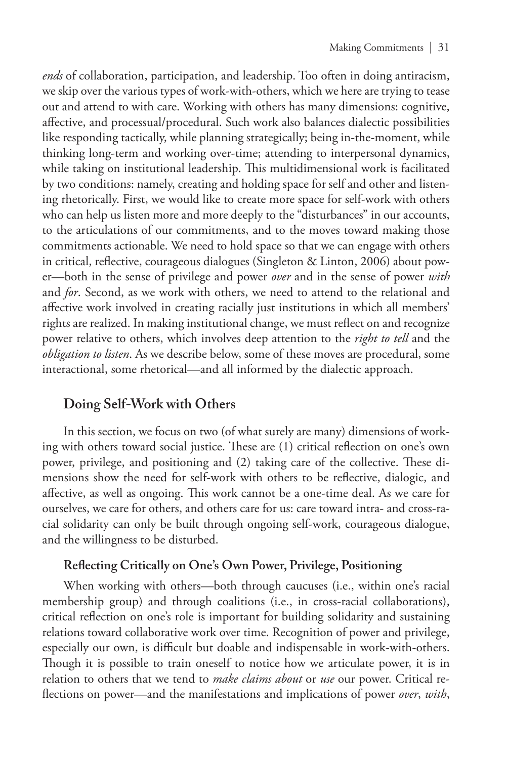*ends* of collaboration, participation, and leadership. Too often in doing antiracism, we skip over the various types of work-with-others, which we here are trying to tease out and attend to with care. Working with others has many dimensions: cognitive, affective, and processual/procedural. Such work also balances dialectic possibilities like responding tactically, while planning strategically; being in-the-moment, while thinking long-term and working over-time; attending to interpersonal dynamics, while taking on institutional leadership. This multidimensional work is facilitated by two conditions: namely, creating and holding space for self and other and listening rhetorically. First, we would like to create more space for self-work with others who can help us listen more and more deeply to the "disturbances" in our accounts, to the articulations of our commitments, and to the moves toward making those commitments actionable. We need to hold space so that we can engage with others in critical, reflective, courageous dialogues (Singleton & Linton, 2006) about power—both in the sense of privilege and power *over* and in the sense of power *with* and *for*. Second, as we work with others, we need to attend to the relational and affective work involved in creating racially just institutions in which all members' rights are realized. In making institutional change, we must reflect on and recognize power relative to others, which involves deep attention to the *right to tell* and the *obligation to listen*. As we describe below, some of these moves are procedural, some interactional, some rhetorical—and all informed by the dialectic approach.

#### **Doing Self-Work with Others**

In this section, we focus on two (of what surely are many) dimensions of working with others toward social justice. These are (1) critical reflection on one's own power, privilege, and positioning and (2) taking care of the collective. These dimensions show the need for self-work with others to be reflective, dialogic, and affective, as well as ongoing. This work cannot be a one-time deal. As we care for ourselves, we care for others, and others care for us: care toward intra- and cross-racial solidarity can only be built through ongoing self-work, courageous dialogue, and the willingness to be disturbed.

#### **Reflecting Critically on One's Own Power, Privilege, Positioning**

When working with others—both through caucuses (i.e., within one's racial membership group) and through coalitions (i.e., in cross-racial collaborations), critical reflection on one's role is important for building solidarity and sustaining relations toward collaborative work over time. Recognition of power and privilege, especially our own, is difficult but doable and indispensable in work-with-others. Though it is possible to train oneself to notice how we articulate power, it is in relation to others that we tend to *make claims about* or *use* our power. Critical reflections on power—and the manifestations and implications of power *over*, *with*,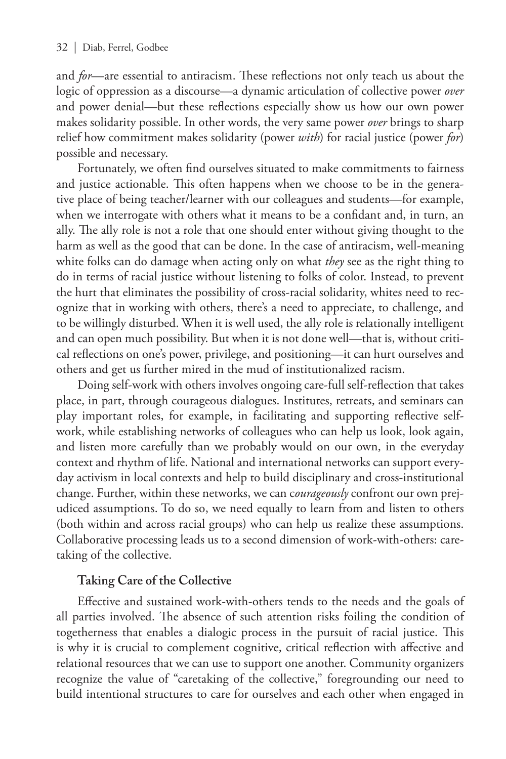and *for*—are essential to antiracism. These reflections not only teach us about the logic of oppression as a discourse—a dynamic articulation of collective power *over* and power denial—but these reflections especially show us how our own power makes solidarity possible. In other words, the very same power *over* brings to sharp relief how commitment makes solidarity (power *with*) for racial justice (power *for*) possible and necessary.

Fortunately, we often find ourselves situated to make commitments to fairness and justice actionable. This often happens when we choose to be in the generative place of being teacher/learner with our colleagues and students—for example, when we interrogate with others what it means to be a confidant and, in turn, an ally. The ally role is not a role that one should enter without giving thought to the harm as well as the good that can be done. In the case of antiracism, well-meaning white folks can do damage when acting only on what *they* see as the right thing to do in terms of racial justice without listening to folks of color. Instead, to prevent the hurt that eliminates the possibility of cross-racial solidarity, whites need to recognize that in working with others, there's a need to appreciate, to challenge, and to be willingly disturbed. When it is well used, the ally role is relationally intelligent and can open much possibility. But when it is not done well—that is, without critical reflections on one's power, privilege, and positioning—it can hurt ourselves and others and get us further mired in the mud of institutionalized racism.

Doing self-work with others involves ongoing care-full self-reflection that takes place, in part, through courageous dialogues. Institutes, retreats, and seminars can play important roles, for example, in facilitating and supporting reflective selfwork, while establishing networks of colleagues who can help us look, look again, and listen more carefully than we probably would on our own, in the everyday context and rhythm of life. National and international networks can support everyday activism in local contexts and help to build disciplinary and cross-institutional change. Further, within these networks, we can c*ourageously* confront our own prejudiced assumptions. To do so, we need equally to learn from and listen to others (both within and across racial groups) who can help us realize these assumptions. Collaborative processing leads us to a second dimension of work-with-others: caretaking of the collective.

#### **Taking Care of the Collective**

Effective and sustained work-with-others tends to the needs and the goals of all parties involved. The absence of such attention risks foiling the condition of togetherness that enables a dialogic process in the pursuit of racial justice. This is why it is crucial to complement cognitive, critical reflection with affective and relational resources that we can use to support one another. Community organizers recognize the value of "caretaking of the collective," foregrounding our need to build intentional structures to care for ourselves and each other when engaged in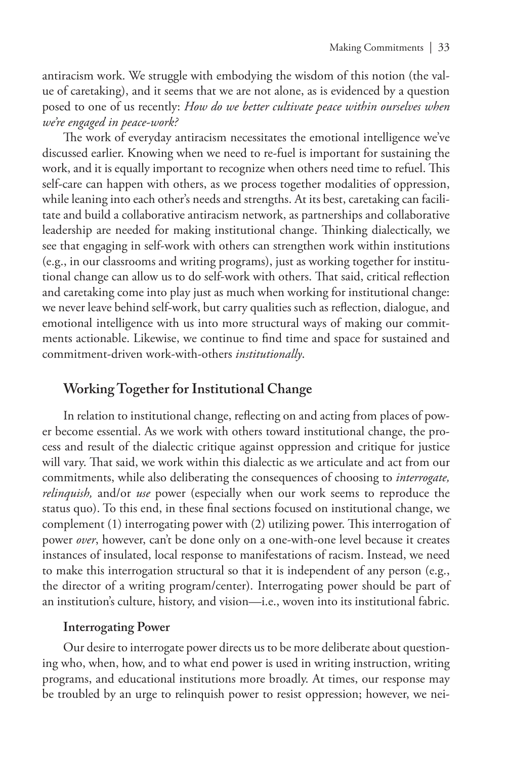antiracism work. We struggle with embodying the wisdom of this notion (the value of caretaking), and it seems that we are not alone, as is evidenced by a question posed to one of us recently: *How do we better cultivate peace within ourselves when we're engaged in peace-work?*

The work of everyday antiracism necessitates the emotional intelligence we've discussed earlier. Knowing when we need to re-fuel is important for sustaining the work, and it is equally important to recognize when others need time to refuel. This self-care can happen with others, as we process together modalities of oppression, while leaning into each other's needs and strengths. At its best, caretaking can facilitate and build a collaborative antiracism network, as partnerships and collaborative leadership are needed for making institutional change. Thinking dialectically, we see that engaging in self-work with others can strengthen work within institutions (e.g., in our classrooms and writing programs), just as working together for institutional change can allow us to do self-work with others. That said, critical reflection and caretaking come into play just as much when working for institutional change: we never leave behind self-work, but carry qualities such as reflection, dialogue, and emotional intelligence with us into more structural ways of making our commitments actionable. Likewise, we continue to find time and space for sustained and commitment-driven work-with-others *institutionally*.

#### **Working Together for Institutional Change**

In relation to institutional change, reflecting on and acting from places of power become essential. As we work with others toward institutional change, the process and result of the dialectic critique against oppression and critique for justice will vary. That said, we work within this dialectic as we articulate and act from our commitments, while also deliberating the consequences of choosing to *interrogate, relinquish,* and/or *use* power (especially when our work seems to reproduce the status quo). To this end, in these final sections focused on institutional change, we complement (1) interrogating power with (2) utilizing power. This interrogation of power *over*, however, can't be done only on a one-with-one level because it creates instances of insulated, local response to manifestations of racism. Instead, we need to make this interrogation structural so that it is independent of any person (e.g., the director of a writing program/center). Interrogating power should be part of an institution's culture, history, and vision—i.e., woven into its institutional fabric.

#### **Interrogating Power**

Our desire to interrogate power directs us to be more deliberate about questioning who, when, how, and to what end power is used in writing instruction, writing programs, and educational institutions more broadly. At times, our response may be troubled by an urge to relinquish power to resist oppression; however, we nei-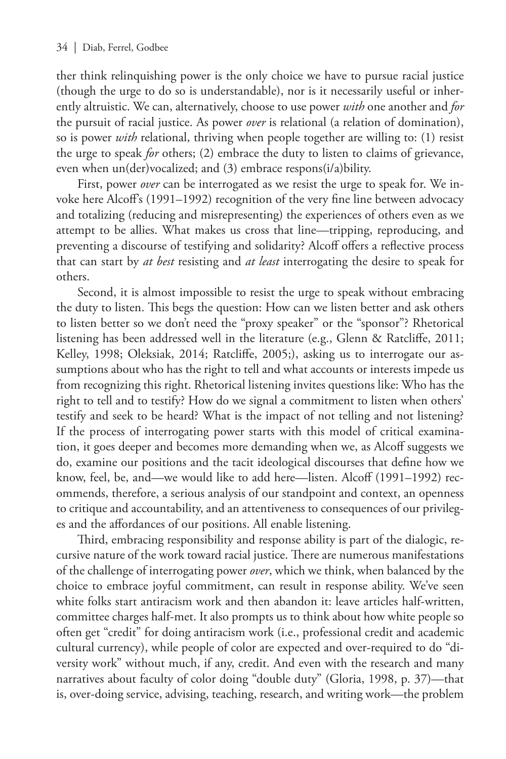ther think relinquishing power is the only choice we have to pursue racial justice (though the urge to do so is understandable), nor is it necessarily useful or inherently altruistic. We can, alternatively, choose to use power *with* one another and *for* the pursuit of racial justice. As power *over* is relational (a relation of domination), so is power *with* relational, thriving when people together are willing to: (1) resist the urge to speak *for* others; (2) embrace the duty to listen to claims of grievance, even when un(der)vocalized; and (3) embrace respons(i/a)bility.

First, power *over* can be interrogated as we resist the urge to speak for. We invoke here Alcoff's (1991–1992) recognition of the very fine line between advocacy and totalizing (reducing and misrepresenting) the experiences of others even as we attempt to be allies. What makes us cross that line—tripping, reproducing, and preventing a discourse of testifying and solidarity? Alcoff offers a reflective process that can start by *at best* resisting and *at least* interrogating the desire to speak for others.

Second, it is almost impossible to resist the urge to speak without embracing the duty to listen. This begs the question: How can we listen better and ask others to listen better so we don't need the "proxy speaker" or the "sponsor"? Rhetorical listening has been addressed well in the literature (e.g., Glenn & Ratcliffe, 2011; Kelley, 1998; Oleksiak, 2014; Ratcliffe, 2005;), asking us to interrogate our assumptions about who has the right to tell and what accounts or interests impede us from recognizing this right. Rhetorical listening invites questions like: Who has the right to tell and to testify? How do we signal a commitment to listen when others' testify and seek to be heard? What is the impact of not telling and not listening? If the process of interrogating power starts with this model of critical examination, it goes deeper and becomes more demanding when we, as Alcoff suggests we do, examine our positions and the tacit ideological discourses that define how we know, feel, be, and—we would like to add here—listen. Alcoff (1991–1992) recommends, therefore, a serious analysis of our standpoint and context, an openness to critique and accountability, and an attentiveness to consequences of our privileges and the affordances of our positions. All enable listening.

Third, embracing responsibility and response ability is part of the dialogic, recursive nature of the work toward racial justice. There are numerous manifestations of the challenge of interrogating power *over*, which we think, when balanced by the choice to embrace joyful commitment, can result in response ability. We've seen white folks start antiracism work and then abandon it: leave articles half-written, committee charges half-met. It also prompts us to think about how white people so often get "credit" for doing antiracism work (i.e., professional credit and academic cultural currency), while people of color are expected and over-required to do "diversity work" without much, if any, credit. And even with the research and many narratives about faculty of color doing "double duty" (Gloria, 1998, p. 37)—that is, over-doing service, advising, teaching, research, and writing work—the problem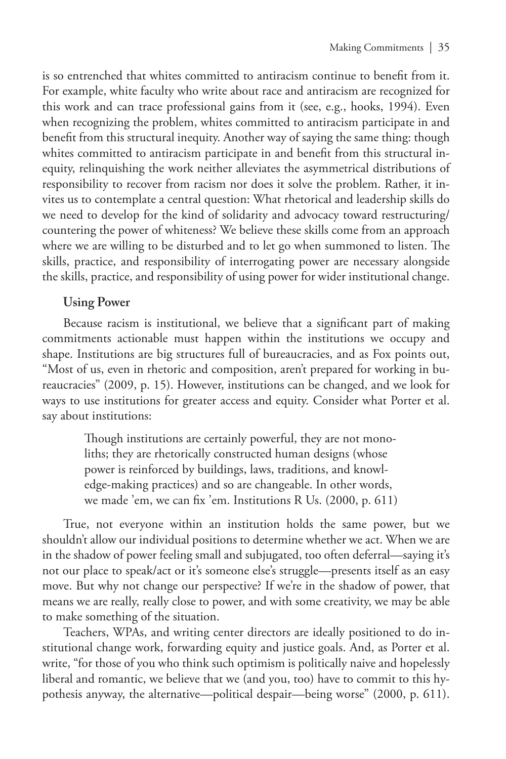is so entrenched that whites committed to antiracism continue to benefit from it. For example, white faculty who write about race and antiracism are recognized for this work and can trace professional gains from it (see, e.g., hooks, 1994). Even when recognizing the problem, whites committed to antiracism participate in and benefit from this structural inequity. Another way of saying the same thing: though whites committed to antiracism participate in and benefit from this structural inequity, relinquishing the work neither alleviates the asymmetrical distributions of responsibility to recover from racism nor does it solve the problem. Rather, it invites us to contemplate a central question: What rhetorical and leadership skills do we need to develop for the kind of solidarity and advocacy toward restructuring/ countering the power of whiteness? We believe these skills come from an approach where we are willing to be disturbed and to let go when summoned to listen. The skills, practice, and responsibility of interrogating power are necessary alongside the skills, practice, and responsibility of using power for wider institutional change.

#### **Using Power**

Because racism is institutional, we believe that a significant part of making commitments actionable must happen within the institutions we occupy and shape. Institutions are big structures full of bureaucracies, and as Fox points out, "Most of us, even in rhetoric and composition, aren't prepared for working in bureaucracies" (2009, p. 15). However, institutions can be changed, and we look for ways to use institutions for greater access and equity. Consider what Porter et al. say about institutions:

> Though institutions are certainly powerful, they are not monoliths; they are rhetorically constructed human designs (whose power is reinforced by buildings, laws, traditions, and knowledge-making practices) and so are changeable. In other words, we made 'em, we can fix 'em. Institutions R Us. (2000, p. 611)

True, not everyone within an institution holds the same power, but we shouldn't allow our individual positions to determine whether we act. When we are in the shadow of power feeling small and subjugated, too often deferral—saying it's not our place to speak/act or it's someone else's struggle—presents itself as an easy move. But why not change our perspective? If we're in the shadow of power, that means we are really, really close to power, and with some creativity, we may be able to make something of the situation.

Teachers, WPAs, and writing center directors are ideally positioned to do institutional change work, forwarding equity and justice goals. And, as Porter et al. write, "for those of you who think such optimism is politically naive and hopelessly liberal and romantic, we believe that we (and you, too) have to commit to this hypothesis anyway, the alternative—political despair—being worse" (2000, p. 611).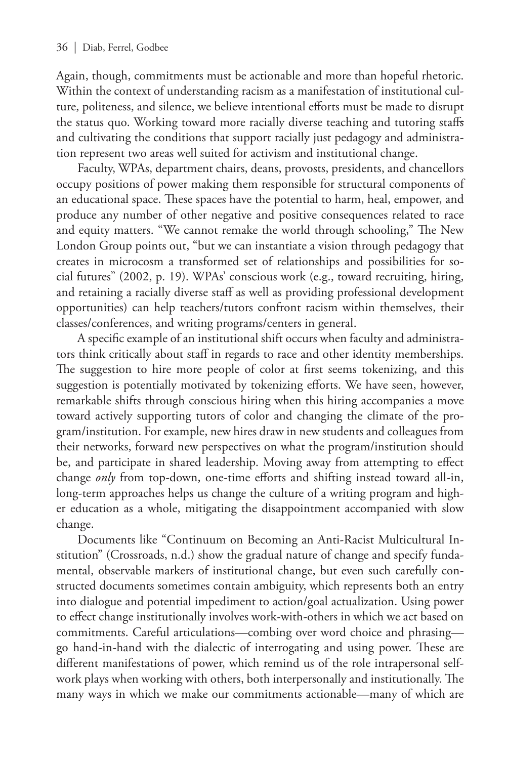Again, though, commitments must be actionable and more than hopeful rhetoric. Within the context of understanding racism as a manifestation of institutional culture, politeness, and silence, we believe intentional efforts must be made to disrupt the status quo. Working toward more racially diverse teaching and tutoring staffs and cultivating the conditions that support racially just pedagogy and administration represent two areas well suited for activism and institutional change.

Faculty, WPAs, department chairs, deans, provosts, presidents, and chancellors occupy positions of power making them responsible for structural components of an educational space. These spaces have the potential to harm, heal, empower, and produce any number of other negative and positive consequences related to race and equity matters. "We cannot remake the world through schooling," The New London Group points out, "but we can instantiate a vision through pedagogy that creates in microcosm a transformed set of relationships and possibilities for social futures" (2002, p. 19). WPAs' conscious work (e.g., toward recruiting, hiring, and retaining a racially diverse staff as well as providing professional development opportunities) can help teachers/tutors confront racism within themselves, their classes/conferences, and writing programs/centers in general.

A specific example of an institutional shift occurs when faculty and administrators think critically about staff in regards to race and other identity memberships. The suggestion to hire more people of color at first seems tokenizing, and this suggestion is potentially motivated by tokenizing efforts. We have seen, however, remarkable shifts through conscious hiring when this hiring accompanies a move toward actively supporting tutors of color and changing the climate of the program/institution. For example, new hires draw in new students and colleagues from their networks, forward new perspectives on what the program/institution should be, and participate in shared leadership. Moving away from attempting to effect change *only* from top-down, one-time efforts and shifting instead toward all-in, long-term approaches helps us change the culture of a writing program and higher education as a whole, mitigating the disappointment accompanied with slow change.

Documents like "Continuum on Becoming an Anti-Racist Multicultural Institution" (Crossroads, n.d.) show the gradual nature of change and specify fundamental, observable markers of institutional change, but even such carefully constructed documents sometimes contain ambiguity, which represents both an entry into dialogue and potential impediment to action/goal actualization. Using power to effect change institutionally involves work-with-others in which we act based on commitments. Careful articulations—combing over word choice and phrasing go hand-in-hand with the dialectic of interrogating and using power. These are different manifestations of power, which remind us of the role intrapersonal selfwork plays when working with others, both interpersonally and institutionally. The many ways in which we make our commitments actionable—many of which are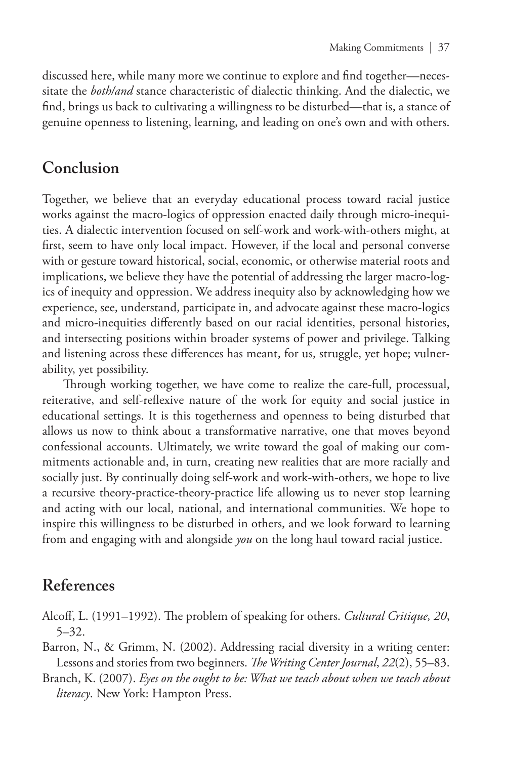discussed here, while many more we continue to explore and find together—necessitate the *both/and* stance characteristic of dialectic thinking. And the dialectic, we find, brings us back to cultivating a willingness to be disturbed—that is, a stance of genuine openness to listening, learning, and leading on one's own and with others.

## **Conclusion**

Together, we believe that an everyday educational process toward racial justice works against the macro-logics of oppression enacted daily through micro-inequities. A dialectic intervention focused on self-work and work-with-others might, at first, seem to have only local impact. However, if the local and personal converse with or gesture toward historical, social, economic, or otherwise material roots and implications, we believe they have the potential of addressing the larger macro-logics of inequity and oppression. We address inequity also by acknowledging how we experience, see, understand, participate in, and advocate against these macro-logics and micro-inequities differently based on our racial identities, personal histories, and intersecting positions within broader systems of power and privilege. Talking and listening across these differences has meant, for us, struggle, yet hope; vulnerability, yet possibility.

Through working together, we have come to realize the care-full, processual, reiterative, and self-reflexive nature of the work for equity and social justice in educational settings. It is this togetherness and openness to being disturbed that allows us now to think about a transformative narrative, one that moves beyond confessional accounts. Ultimately, we write toward the goal of making our commitments actionable and, in turn, creating new realities that are more racially and socially just. By continually doing self-work and work-with-others, we hope to live a recursive theory-practice-theory-practice life allowing us to never stop learning and acting with our local, national, and international communities. We hope to inspire this willingness to be disturbed in others, and we look forward to learning from and engaging with and alongside *you* on the long haul toward racial justice.

## **References**

- Alcoff, L. (1991–1992). The problem of speaking for others. *Cultural Critique, 20*, 5–32.
- Barron, N., & Grimm, N. (2002). Addressing racial diversity in a writing center: Lessons and stories from two beginners. *The Writing Center Journal*, *22*(2), 55–83.
- Branch, K. (2007). *Eyes on the ought to be: What we teach about when we teach about literacy*. New York: Hampton Press.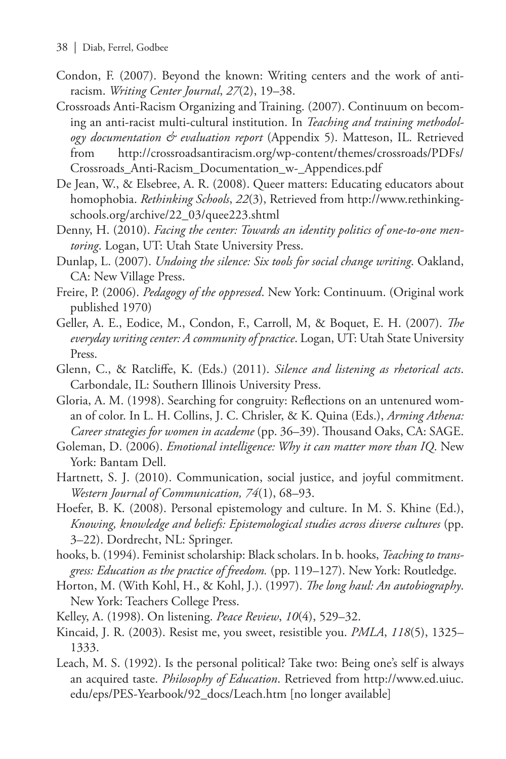- Condon, F. (2007). Beyond the known: Writing centers and the work of antiracism. *Writing Center Journal*, *27*(2), 19–38.
- Crossroads Anti-Racism Organizing and Training. (2007). Continuum on becoming an anti-racist multi-cultural institution. In *Teaching and training methodology documentation & evaluation report* (Appendix 5). Matteson, IL. Retrieved from http://crossroadsantiracism.org/wp-content/themes/crossroads/PDFs/ Crossroads\_Anti-Racism\_Documentation\_w-\_Appendices.pdf
- De Jean, W., & Elsebree, A. R. (2008). Queer matters: Educating educators about homophobia. *Rethinking Schools*, *22*[\(3\), Retrieved from http://www.rethinking](http://crossroadsantiracism.org/wp-content/themes/crossroads/PDFs/Crossroads_Anti-Racism_Documentation_w-_Appendices.pdf)[schools.org/archive/22\\_03/quee223.shtml](http://crossroadsantiracism.org/wp-content/themes/crossroads/PDFs/Crossroads_Anti-Racism_Documentation_w-_Appendices.pdf)
- Denny, H. (2010). *Facing the center: Towards an identity politics of one-to-one mentoring*. Logan, UT: Utah State University Press.
- Dunlap, L. (2007). *[Undoing the silence: Six to](http://www.rethinkingschools.org/archive/22_03/quee223.shtml)ols for social change writing*. Oakland, CA: New Village Press.
- Freire, P. (2006). *Pedagogy of the oppressed*. New York: Continuum. (Original work published 1970)
- Geller, A. E., Eodice, M., Condon, F., Carroll, M, & Boquet, E. H. (2007). *The everyday writing center: A community of practice*. Logan, UT: Utah State University Press.
- Glenn, C., & Ratcliffe, K. (Eds.) (2011). *Silence and listening as rhetorical acts*. Carbondale, IL: Southern Illinois University Press.
- Gloria, A. M. (1998). Searching for congruity: Reflections on an untenured woman of color. In L. H. Collins, J. C. Chrisler, & K. Quina (Eds.), *Arming Athena: Career strategies for women in academe* (pp. 36–39). Thousand Oaks, CA: SAGE.
- Goleman, D. (2006). *Emotional intelligence: Why it can matter more than IQ*. New York: Bantam Dell.
- Hartnett, S. J. (2010). Communication, social justice, and joyful commitment. *Western Journal of Communication, 74*(1), 68–93.
- Hoefer, B. K. (2008). Personal epistemology and culture. In M. S. Khine (Ed.), *Knowing, knowledge and beliefs: Epistemological studies across diverse cultures* (pp. 3–22). Dordrecht, NL: Springer.
- hooks, b. (1994). Feminist scholarship: Black scholars. In b. hooks, *Teaching to transgress: Education as the practice of freedom.* (pp. 119–127). New York: Routledge.
- Horton, M. (With Kohl, H., & Kohl, J.). (1997). *The long haul: An autobiography*. New York: Teachers College Press.
- Kelley, A. (1998). On listening. *Peace Review*, *10*(4), 529–32.
- Kincaid, J. R. (2003). Resist me, you sweet, resistible you. *PMLA*, *118*(5), 1325– 1333.
- Leach, M. S. (1992). Is the personal political? Take two: Being one's self is always an acquired taste. *Philosophy of Education*. Retrieved from http://www.ed.uiuc. edu/eps/PES-Yearbook/92\_docs/Leach.htm [no longer available]